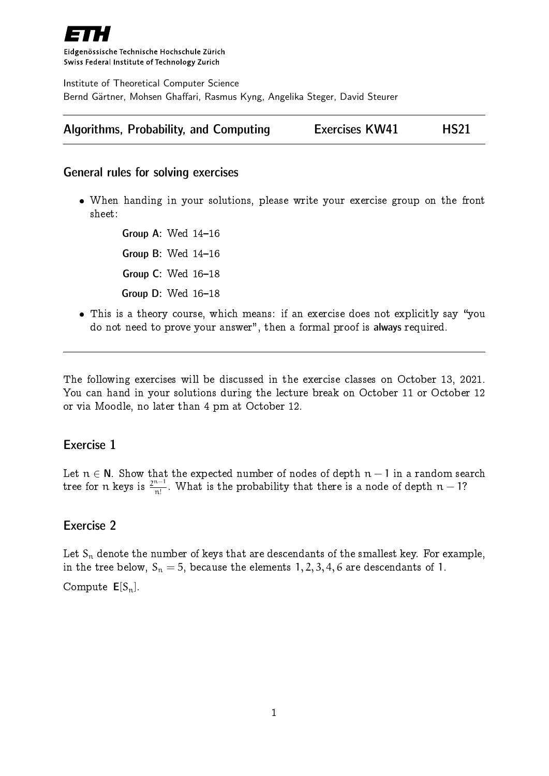

Eidgenössische Technische Hochschule Zürich Swiss Federal Institute of Technology Zurich

Institute of Theoretical Computer Science Bernd Gärtner, Mohsen Ghaffari, Rasmus Kyng, Angelika Steger, David Steurer

| Algorithms, Probability, and Computing | <b>Exercises KW41</b> | <b>HS21</b> |
|----------------------------------------|-----------------------|-------------|
|----------------------------------------|-----------------------|-------------|

### General rules for solving exercises

 When handing in your solutions, please write your exercise group on the front sheet:

> Group A: Wed  $14-16$ Group B: Wed  $14-16$ **Group C: Wed 16-18** Group  $D$ : Wed  $16-18$

• This is a theory course, which means: if an exercise does not explicitly say "you do not need to prove your answer", then a formal proof is always required.

The following exercises will be discussed in the exercise classes on October 13, 2021. You can hand in your solutions during the lecture break on October 11 or October 12 or via Moodle, no later than 4 pm at October 12.

### Exercise 1

Let  $n \in N$ . Show that the expected number of nodes of depth  $n - 1$  in a random search tree for n keys is  $\frac{2^{n-1}}{n!}$  $\frac{n!}{n!}$ . What is the probability that there is a node of depth  $n-1$ ?

## Exercise 2

Let  $S_n$  denote the number of keys that are descendants of the smallest key. For example, in the tree below,  $S_n = 5$ , because the elements 1, 2, 3, 4, 6 are descendants of 1. Compute  $E[S_n]$ .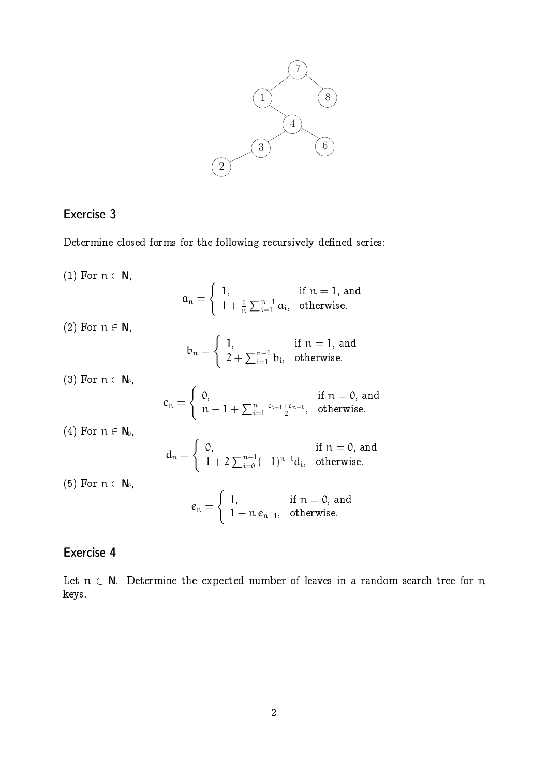

## Exercise 3

Determine closed forms for the following recursively defined series:

(1) For  $n \in \mathbb{N}$ ,  $a_n =$  $\int 1$ , if  $n = 1$ , and  $1 + \frac{1}{n}$  $\frac{1}{n}\sum_{i=1}^{n-1} a_i$ , otherwise. (2) For  $n \in \mathbb{N}$ ,  $b_n =$  $\int 1$ , if  $n = 1$ , and  $2+\sum_{i=1}^{n-1}b_i$ , otherwise. (3) For  $n \in N_0$ ,  $c_n =$  $\int 0$ , if  $n = 0$ , and  $n - 1 + \sum_{i=1}^{n}$  $c_{i-1}+c_{n-i}$  $\frac{1}{2}$ , otherwise. (4) For  $n \in N_0$ ,  $d_n =$  $\int 0$ , if  $n = 0$ , and  $1 + 2 \sum_{i=0}^{n-1} (-1)^{n-i} d_i$ , otherwise. (5) For  $n \in N_0$ ,  $e_n =$  $\int 1$ , if  $n = 0$ , and  $1 + n e_{n-1}$ , otherwise.

## Exercise 4

Let  $n \in N$ . Determine the expected number of leaves in a random search tree for n keys.